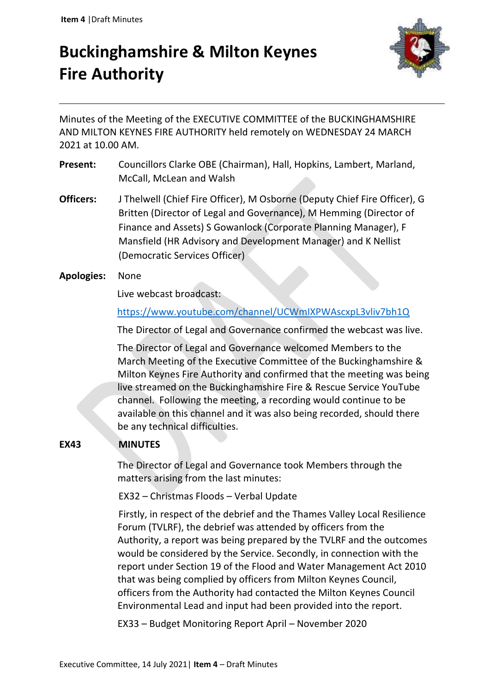# **Buckinghamshire & Milton Keynes Fire Authority**



Minutes of the Meeting of the EXECUTIVE COMMITTEE of the BUCKINGHAMSHIRE AND MILTON KEYNES FIRE AUTHORITY held remotely on WEDNESDAY 24 MARCH 2021 at 10.00 AM.

- **Present:** Councillors Clarke OBE (Chairman), Hall, Hopkins, Lambert, Marland, McCall, McLean and Walsh
- **Officers:** J Thelwell (Chief Fire Officer), M Osborne (Deputy Chief Fire Officer), G Britten (Director of Legal and Governance), M Hemming (Director of Finance and Assets) S Gowanlock (Corporate Planning Manager), F Mansfield (HR Advisory and Development Manager) and K Nellist (Democratic Services Officer)
- **Apologies:** None

Live webcast broadcast:

<https://www.youtube.com/channel/UCWmIXPWAscxpL3vliv7bh1Q>

The Director of Legal and Governance confirmed the webcast was live.

 The Director of Legal and Governance welcomed Members to the March Meeting of the Executive Committee of the Buckinghamshire & Milton Keynes Fire Authority and confirmed that the meeting was being live streamed on the Buckinghamshire Fire & Rescue Service YouTube channel. Following the meeting, a recording would continue to be available on this channel and it was also being recorded, should there be any technical difficulties.

## **EX43 MINUTES**

The Director of Legal and Governance took Members through the matters arising from the last minutes:

EX32 – Christmas Floods – Verbal Update

Firstly, in respect of the debrief and the Thames Valley Local Resilience Forum (TVLRF), the debrief was attended by officers from the Authority, a report was being prepared by the TVLRF and the outcomes would be considered by the Service. Secondly, in connection with the report under Section 19 of the Flood and Water Management Act 2010 that was being complied by officers from Milton Keynes Council, officers from the Authority had contacted the Milton Keynes Council Environmental Lead and input had been provided into the report.

EX33 – Budget Monitoring Report April – November 2020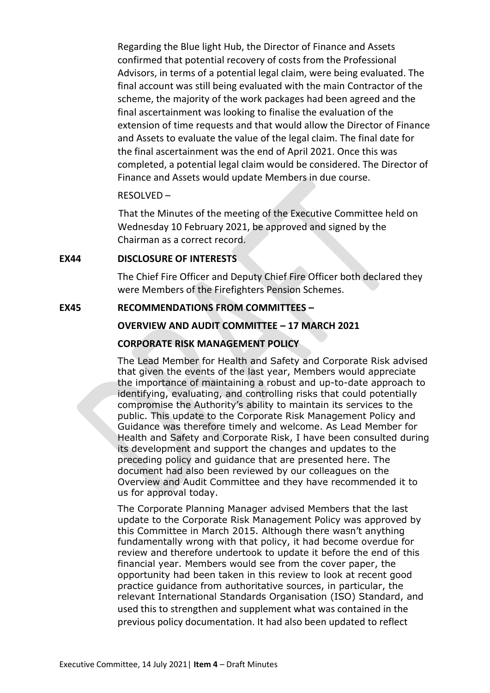Regarding the Blue light Hub, the Director of Finance and Assets confirmed that potential recovery of costs from the Professional Advisors, in terms of a potential legal claim, were being evaluated. The final account was still being evaluated with the main Contractor of the scheme, the majority of the work packages had been agreed and the final ascertainment was looking to finalise the evaluation of the extension of time requests and that would allow the Director of Finance and Assets to evaluate the value of the legal claim. The final date for the final ascertainment was the end of April 2021. Once this was completed, a potential legal claim would be considered. The Director of Finance and Assets would update Members in due course.

#### RESOLVED –

That the Minutes of the meeting of the Executive Committee held on Wednesday 10 February 2021, be approved and signed by the Chairman as a correct record.

#### **EX44 DISCLOSURE OF INTERESTS**

The Chief Fire Officer and Deputy Chief Fire Officer both declared they were Members of the Firefighters Pension Schemes.

#### **EX45 RECOMMENDATIONS FROM COMMITTEES –**

## **OVERVIEW AND AUDIT COMMITTEE – 17 MARCH 2021**

#### **CORPORATE RISK MANAGEMENT POLICY**

The Lead Member for Health and Safety and Corporate Risk advised that given the events of the last year, Members would appreciate the importance of maintaining a robust and up-to-date approach to identifying, evaluating, and controlling risks that could potentially compromise the Authority's ability to maintain its services to the public. This update to the Corporate Risk Management Policy and Guidance was therefore timely and welcome. As Lead Member for Health and Safety and Corporate Risk, I have been consulted during its development and support the changes and updates to the preceding policy and guidance that are presented here. The document had also been reviewed by our colleagues on the Overview and Audit Committee and they have recommended it to us for approval today.

The Corporate Planning Manager advised Members that the last update to the Corporate Risk Management Policy was approved by this Committee in March 2015. Although there wasn't anything fundamentally wrong with that policy, it had become overdue for review and therefore undertook to update it before the end of this financial year. Members would see from the cover paper, the opportunity had been taken in this review to look at recent good practice guidance from authoritative sources, in particular, the relevant International Standards Organisation (ISO) Standard, and used this to strengthen and supplement what was contained in the previous policy documentation. It had also been updated to reflect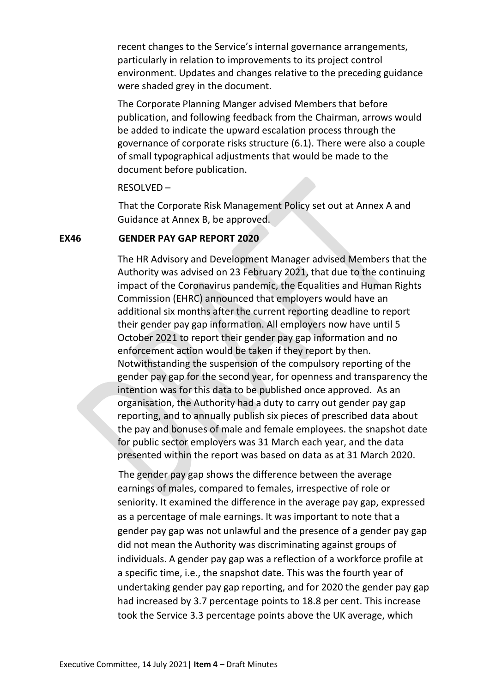recent changes to the Service's internal governance arrangements, particularly in relation to improvements to its project control environment. Updates and changes relative to the preceding guidance were shaded grey in the document.

The Corporate Planning Manger advised Members that before publication, and following feedback from the Chairman, arrows would be added to indicate the upward escalation process through the governance of corporate risks structure (6.1). There were also a couple of small typographical adjustments that would be made to the document before publication.

#### RESOLVED –

That the Corporate Risk Management Policy set out at Annex A and Guidance at Annex B, be approved.

## **EX46 GENDER PAY GAP REPORT 2020**

The HR Advisory and Development Manager advised Members that the Authority was advised on 23 February 2021, that due to the continuing impact of the Coronavirus pandemic, the Equalities and Human Rights Commission (EHRC) announced that employers would have an additional six months after the current reporting deadline to report their gender pay gap information. All employers now have until 5 October 2021 to report their gender pay gap information and no enforcement action would be taken if they report by then. Notwithstanding the suspension of the compulsory reporting of the gender pay gap for the second year, for openness and transparency the intention was for this data to be published once approved.As an organisation, the Authority had a duty to carry out gender pay gap reporting, and to annually publish six pieces of prescribed data about the pay and bonuses of male and female employees. the snapshot date for public sector employers was 31 March each year, and the data presented within the report was based on data as at 31 March 2020.

The gender pay gap shows the difference between the average earnings of males, compared to females, irrespective of role or seniority. It examined the difference in the average pay gap, expressed as a percentage of male earnings. It was important to note that a gender pay gap was not unlawful and the presence of a gender pay gap did not mean the Authority was discriminating against groups of individuals. A gender pay gap was a reflection of a workforce profile at a specific time, i.e., the snapshot date. This was the fourth year of undertaking gender pay gap reporting, and for 2020 the gender pay gap had increased by 3.7 percentage points to 18.8 per cent. This increase took the Service 3.3 percentage points above the UK average, which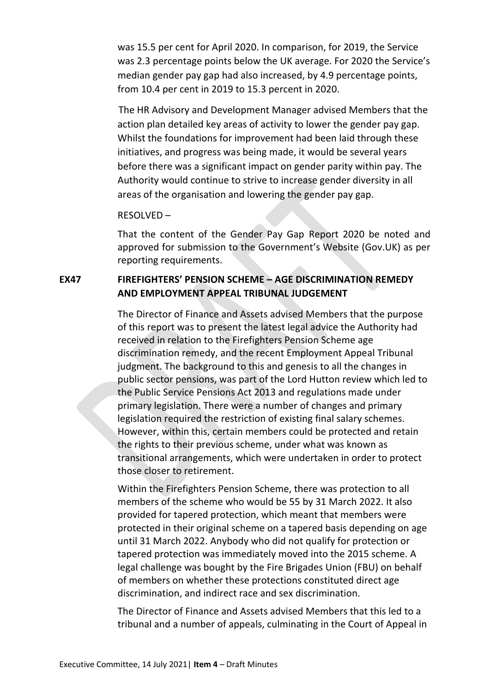was 15.5 per cent for April 2020. In comparison, for 2019, the Service was 2.3 percentage points below the UK average. For 2020 the Service's median gender pay gap had also increased, by 4.9 percentage points, from 10.4 per cent in 2019 to 15.3 percent in 2020.

The HR Advisory and Development Manager advised Members that the action plan detailed key areas of activity to lower the gender pay gap. Whilst the foundations for improvement had been laid through these initiatives, and progress was being made, it would be several years before there was a significant impact on gender parity within pay. The Authority would continue to strive to increase gender diversity in all areas of the organisation and lowering the gender pay gap.

#### RESOLVED –

That the content of the Gender Pay Gap Report 2020 be noted and approved for submission to the Government's Website (Gov.UK) as per reporting requirements.

# **EX47 FIREFIGHTERS' PENSION SCHEME – AGE DISCRIMINATION REMEDY AND EMPLOYMENT APPEAL TRIBUNAL JUDGEMENT**

The Director of Finance and Assets advised Members that the purpose of this report was to present the latest legal advice the Authority had received in relation to the Firefighters Pension Scheme age discrimination remedy, and the recent Employment Appeal Tribunal judgment. The background to this and genesis to all the changes in public sector pensions, was part of the Lord Hutton review which led to the Public Service Pensions Act 2013 and regulations made under primary legislation. There were a number of changes and primary legislation required the restriction of existing final salary schemes. However, within this, certain members could be protected and retain the rights to their previous scheme, under what was known as transitional arrangements, which were undertaken in order to protect those closer to retirement.

Within the Firefighters Pension Scheme, there was protection to all members of the scheme who would be 55 by 31 March 2022. It also provided for tapered protection, which meant that members were protected in their original scheme on a tapered basis depending on age until 31 March 2022. Anybody who did not qualify for protection or tapered protection was immediately moved into the 2015 scheme. A legal challenge was bought by the Fire Brigades Union (FBU) on behalf of members on whether these protections constituted direct age discrimination, and indirect race and sex discrimination.

The Director of Finance and Assets advised Members that this led to a tribunal and a number of appeals, culminating in the Court of Appeal in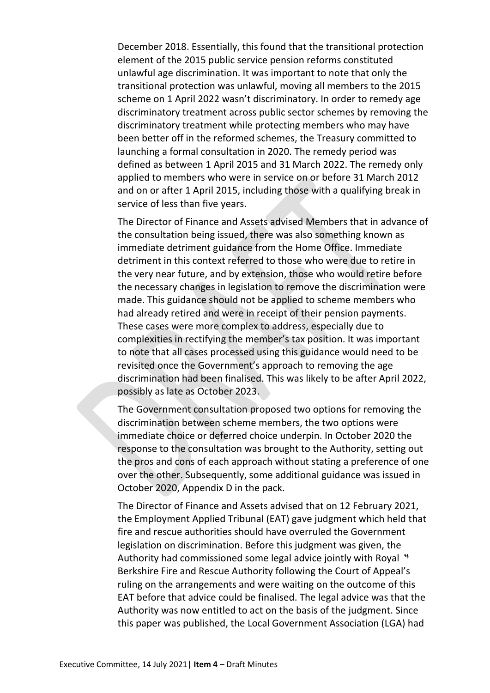December 2018. Essentially, this found that the transitional protection element of the 2015 public service pension reforms constituted unlawful age discrimination. It was important to note that only the transitional protection was unlawful, moving all members to the 2015 scheme on 1 April 2022 wasn't discriminatory. In order to remedy age discriminatory treatment across public sector schemes by removing the discriminatory treatment while protecting members who may have been better off in the reformed schemes, the Treasury committed to launching a formal consultation in 2020. The remedy period was defined as between 1 April 2015 and 31 March 2022. The remedy only applied to members who were in service on or before 31 March 2012 and on or after 1 April 2015, including those with a qualifying break in service of less than five years.

The Director of Finance and Assets advised Members that in advance of the consultation being issued, there was also something known as immediate detriment guidance from the Home Office. Immediate detriment in this context referred to those who were due to retire in the very near future, and by extension, those who would retire before the necessary changes in legislation to remove the discrimination were made. This guidance should not be applied to scheme members who had already retired and were in receipt of their pension payments. These cases were more complex to address, especially due to complexities in rectifying the member's tax position. It was important to note that all cases processed using this guidance would need to be revisited once the Government's approach to removing the age discrimination had been finalised. This was likely to be after April 2022, possibly as late as October 2023.

The Government consultation proposed two options for removing the discrimination between scheme members, the two options were immediate choice or deferred choice underpin. In October 2020 the response to the consultation was brought to the Authority, setting out the pros and cons of each approach without stating a preference of one over the other. Subsequently, some additional guidance was issued in October 2020, Appendix D in the pack.

The Director of Finance and Assets advised that on 12 February 2021, the Employment Applied Tribunal (EAT) gave judgment which held that fire and rescue authorities should have overruled the Government legislation on discrimination. Before this judgment was given, the Authority had commissioned some legal advice jointly with Royal \* Berkshire Fire and Rescue Authority following the Court of Appeal's ruling on the arrangements and were waiting on the outcome of this EAT before that advice could be finalised. The legal advice was that the Authority was now entitled to act on the basis of the judgment. Since this paper was published, the Local Government Association (LGA) had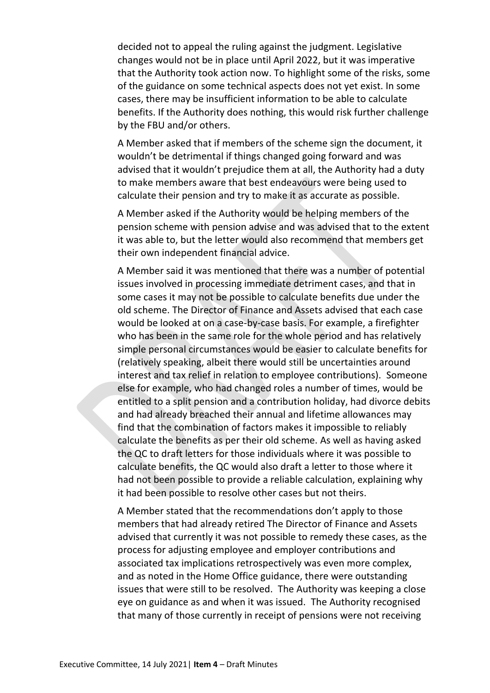decided not to appeal the ruling against the judgment. Legislative changes would not be in place until April 2022, but it was imperative that the Authority took action now. To highlight some of the risks, some of the guidance on some technical aspects does not yet exist. In some cases, there may be insufficient information to be able to calculate benefits. If the Authority does nothing, this would risk further challenge by the FBU and/or others.

A Member asked that if members of the scheme sign the document, it wouldn't be detrimental if things changed going forward and was advised that it wouldn't prejudice them at all, the Authority had a duty to make members aware that best endeavours were being used to calculate their pension and try to make it as accurate as possible.

A Member asked if the Authority would be helping members of the pension scheme with pension advise and was advised that to the extent it was able to, but the letter would also recommend that members get their own independent financial advice.

A Member said it was mentioned that there was a number of potential issues involved in processing immediate detriment cases, and that in some cases it may not be possible to calculate benefits due under the old scheme. The Director of Finance and Assets advised that each case would be looked at on a case-by-case basis. For example, a firefighter who has been in the same role for the whole period and has relatively simple personal circumstances would be easier to calculate benefits for (relatively speaking, albeit there would still be uncertainties around interest and tax relief in relation to employee contributions). Someone else for example, who had changed roles a number of times, would be entitled to a split pension and a contribution holiday, had divorce debits and had already breached their annual and lifetime allowances may find that the combination of factors makes it impossible to reliably calculate the benefits as per their old scheme. As well as having asked the QC to draft letters for those individuals where it was possible to calculate benefits, the QC would also draft a letter to those where it had not been possible to provide a reliable calculation, explaining why it had been possible to resolve other cases but not theirs.

A Member stated that the recommendations don't apply to those members that had already retired The Director of Finance and Assets advised that currently it was not possible to remedy these cases, as the process for adjusting employee and employer contributions and associated tax implications retrospectively was even more complex, and as noted in the Home Office guidance, there were outstanding issues that were still to be resolved. The Authority was keeping a close eye on guidance as and when it was issued. The Authority recognised that many of those currently in receipt of pensions were not receiving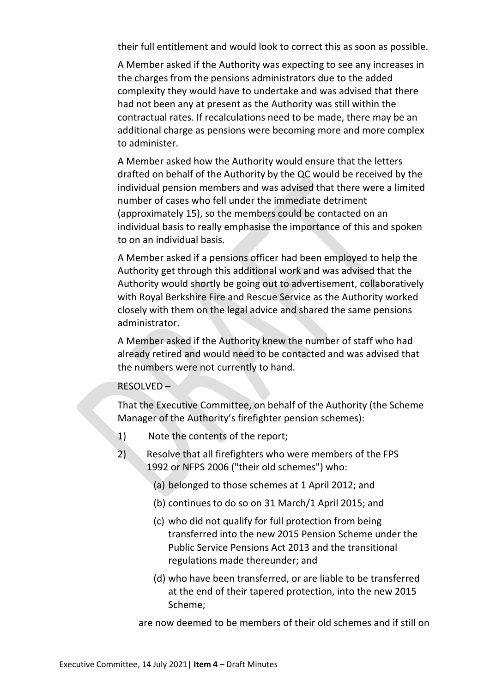their full entitlement and would look to correct this as soon as possible.

A Member asked if the Authority was expecting to see any increases in the charges from the pensions administrators due to the added complexity they would have to undertake and was advised that there had not been any at present as the Authority was still within the contractual rates. If recalculations need to be made, there may be an additional charge as pensions were becoming more and more complex to administer.

A Member asked how the Authority would ensure that the letters drafted on behalf of the Authority by the QC would be received by the individual pension members and was advised that there were a limited number of cases who fell under the immediate detriment (approximately 15), so the members could be contacted on an individual basis to really emphasise the importance of this and spoken to on an individual basis.

A Member asked if a pensions officer had been employed to help the Authority get through this additional work and was advised that the Authority would shortly be going out to advertisement, collaboratively with Royal Berkshire Fire and Rescue Service as the Authority worked closely with them on the legal advice and shared the same pensions administrator.

A Member asked if the Authority knew the number of staff who had already retired and would need to be contacted and was advised that the numbers were not currently to hand.

## RESOLVED –

That the Executive Committee, on behalf of the Authority (the Scheme Manager of the Authority's firefighter pension schemes):

- 1) Note the contents of the report;
- 2) Resolve that all firefighters who were members of the FPS 1992 or NFPS 2006 ("their old schemes") who:
	- (a) belonged to those schemes at 1 April 2012; and
	- (b) continues to do so on 31 March/1 April 2015; and
	- (c) who did not qualify for full protection from being transferred into the new 2015 Pension Scheme under the Public Service Pensions Act 2013 and the transitional regulations made thereunder; and
	- (d) who have been transferred, or are liable to be transferred at the end of their tapered protection, into the new 2015 Scheme;

are now deemed to be members of their old schemes and if still on